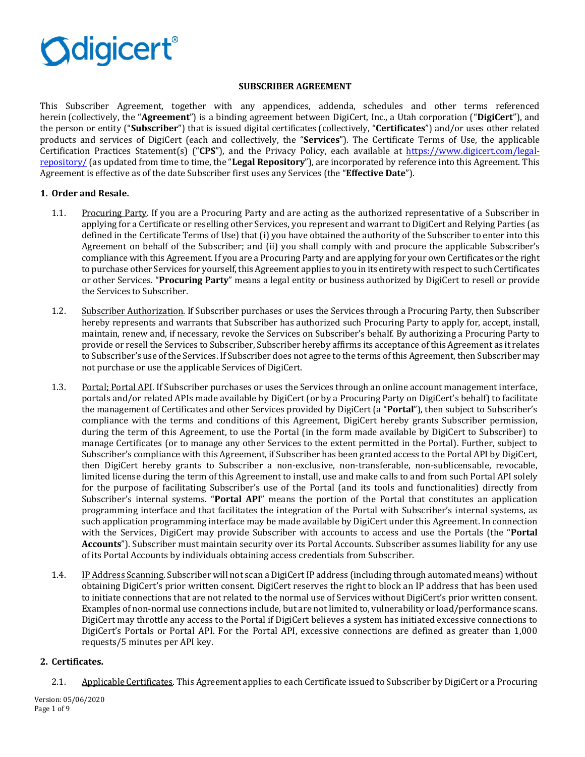

### **SUBSCRIBER AGREEMENT**

This Subscriber Agreement, together with any appendices, addenda, schedules and other terms referenced herein (collectively, the "**Agreement**") is a binding agreement between DigiCert, Inc., a Utah corporation ("**DigiCert**"), and the person or entity ("**Subscriber**") that is issued digital certificates (collectively, "**Certificates**") and/or uses other related products and services of DigiCert (each and collectively, the "**Services**"). The Certificate Terms of Use, the applicable Certification Practices Statement(s) ("**CPS**"), and the Privacy Policy, each available at [https://www.digicert.com/legal](https://www.digicert.com/legal-repository/)[repository/](https://www.digicert.com/legal-repository/) (as updated from time to time, the "**Legal Repository**"), are incorporated by reference into this Agreement. This Agreement is effective as of the date Subscriber first uses any Services (the "**Effective Date**").

## **1. Order and Resale.**

- 1.1. Procuring Party. If you are a Procuring Party and are acting as the authorized representative of a Subscriber in applying for a Certificate or reselling other Services, you represent and warrant to DigiCert and Relying Parties (as defined in the Certificate Terms of Use) that (i) you have obtained the authority of the Subscriber to enter into this Agreement on behalf of the Subscriber; and (ii) you shall comply with and procure the applicable Subscriber's compliance with this Agreement. If you are a Procuring Party and are applying for your own Certificates or the right to purchase other Services for yourself, this Agreement applies to you in its entirety with respect to such Certificates or other Services. "**Procuring Party**" means a legal entity or business authorized by DigiCert to resell or provide the Services to Subscriber.
- 1.2. Subscriber Authorization. If Subscriber purchases or uses the Services through a Procuring Party, then Subscriber hereby represents and warrants that Subscriber has authorized such Procuring Party to apply for, accept, install, maintain, renew and, if necessary, revoke the Services on Subscriber's behalf. By authorizing a Procuring Party to provide or resell the Services to Subscriber, Subscriber hereby affirms its acceptance of this Agreement as it relates to Subscriber's use of the Services. If Subscriber does not agree to the terms of this Agreement, then Subscriber may not purchase or use the applicable Services of DigiCert.
- 1.3. Portal: Portal API. If Subscriber purchases or uses the Services through an online account management interface, portals and/or related APIs made available by DigiCert (or by a Procuring Party on DigiCert's behalf) to facilitate the management of Certificates and other Services provided by DigiCert (a "**Portal**"), then subject to Subscriber's compliance with the terms and conditions of this Agreement, DigiCert hereby grants Subscriber permission, during the term of this Agreement, to use the Portal (in the form made available by DigiCert to Subscriber) to manage Certificates (or to manage any other Services to the extent permitted in the Portal). Further, subject to Subscriber's compliance with this Agreement, if Subscriber has been granted access to the Portal API by DigiCert, then DigiCert hereby grants to Subscriber a non-exclusive, non-transferable, non-sublicensable, revocable, limited license during the term of this Agreement to install, use and make calls to and from such Portal API solely for the purpose of facilitating Subscriber's use of the Portal (and its tools and functionalities) directly from Subscriber's internal systems. "**Portal API**" means the portion of the Portal that constitutes an application programming interface and that facilitates the integration of the Portal with Subscriber's internal systems, as such application programming interface may be made available by DigiCert under this Agreement. In connection with the Services, DigiCert may provide Subscriber with accounts to access and use the Portals (the "**Portal Accounts**"). Subscriber must maintain security over its Portal Accounts. Subscriber assumes liability for any use of its Portal Accounts by individuals obtaining access credentials from Subscriber.
- 1.4. IP Address Scanning. Subscriber will not scan a DigiCert IP address (including through automated means) without obtaining DigiCert's prior written consent. DigiCert reserves the right to block an IP address that has been used to initiate connections that are not related to the normal use of Services without DigiCert's prior written consent. Examples of non-normal use connections include, but are not limited to, vulnerability or load/performance scans. DigiCert may throttle any access to the Portal if DigiCert believes a system has initiated excessive connections to DigiCert's Portals or Portal API. For the Portal API, excessive connections are defined as greater than 1,000 requests/5 minutes per API key.

### **2. Certificates.**

2.1. Applicable Certificates. This Agreement applies to each Certificate issued to Subscriber by DigiCert or a Procuring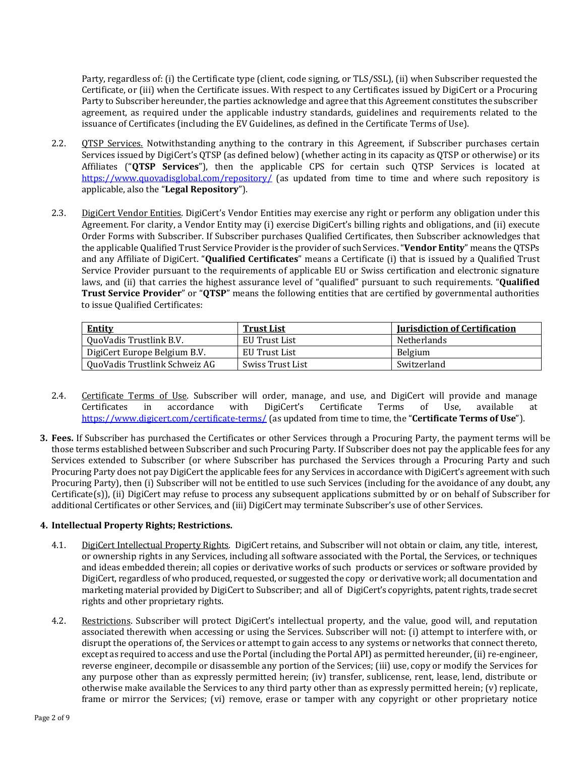Party, regardless of: (i) the Certificate type (client, code signing, or TLS/SSL), (ii) when Subscriber requested the Certificate, or (iii) when the Certificate issues. With respect to any Certificates issued by DigiCert or a Procuring Party to Subscriber hereunder, the parties acknowledge and agree that this Agreement constitutes the subscriber agreement, as required under the applicable industry standards, guidelines and requirements related to the issuance of Certificates (including the EV Guidelines, as defined in the Certificate Terms of Use).

- 2.2. **QTSP Services.** Notwithstanding anything to the contrary in this Agreement, if Subscriber purchases certain Services issued by DigiCert's QTSP (as defined below) (whether acting in its capacity as QTSP or otherwise) or its Affiliates ("**QTSP Services**"), then the applicable CPS for certain such QTSP Services is located at <https://www.quovadisglobal.com/repository/> (as updated from time to time and where such repository is applicable, also the "**Legal Repository**").
- 2.3. DigiCert Vendor Entities. DigiCert's Vendor Entities may exercise any right or perform any obligation under this Agreement. For clarity, a Vendor Entity may (i) exercise DigiCert's billing rights and obligations, and (ii) execute Order Forms with Subscriber. If Subscriber purchases Qualified Certificates, then Subscriber acknowledges that the applicable Qualified Trust Service Provider is the provider of such Services. "**Vendor Entity**" means the QTSPs and any Affiliate of DigiCert. "**Qualified Certificates**" means a Certificate (i) that is issued by a Qualified Trust Service Provider pursuant to the requirements of applicable EU or Swiss certification and electronic signature laws, and (ii) that carries the highest assurance level of "qualified" pursuant to such requirements. "**Qualified Trust Service Provider**" or "**QTSP**" means the following entities that are certified by governmental authorities to issue Qualified Certificates:

| <b>Entity</b>                 | <b>Trust List</b> | <b>Iurisdiction of Certification</b> |
|-------------------------------|-------------------|--------------------------------------|
| QuoVadis Trustlink B.V.       | EU Trust List     | <b>Netherlands</b>                   |
| DigiCert Europe Belgium B.V.  | EU Trust List     | Belgium                              |
| QuoVadis Trustlink Schweiz AG | Swiss Trust List  | Switzerland                          |

- 2.4. Certificate Terms of Use. Subscriber will order, manage, and use, and DigiCert will provide and manage Certificates in accordance with DigiCert's Certificate Terms of Use. available at Certificates in accordance with DigiCert's Certificate Terms of Use, available at <https://www.digicert.com/certificate-terms/> (as updated from time to time, the "**Certificate Terms of Use**").
- **3. Fees.** If Subscriber has purchased the Certificates or other Services through a Procuring Party, the payment terms will be those terms established between Subscriber and such Procuring Party. If Subscriber does not pay the applicable fees for any Services extended to Subscriber (or where Subscriber has purchased the Services through a Procuring Party and such Procuring Party does not pay DigiCert the applicable fees for any Services in accordance with DigiCert's agreement with such Procuring Party), then (i) Subscriber will not be entitled to use such Services (including for the avoidance of any doubt, any Certificate(s)), (ii) DigiCert may refuse to process any subsequent applications submitted by or on behalf of Subscriber for additional Certificates or other Services, and (iii) DigiCert may terminate Subscriber's use of other Services.

## **4. Intellectual Property Rights; Restrictions.**

- <span id="page-1-0"></span>4.1. DigiCert Intellectual Property Rights. DigiCert retains, and Subscriber will not obtain or claim, any title, interest, or ownership rights in any Services, including all software associated with the Portal, the Services, or techniques and ideas embedded therein; all copies or derivative works of such products or services or software provided by DigiCert, regardless of who produced, requested, or suggested the copy or derivative work; all documentation and marketing material provided by DigiCert to Subscriber; and all of DigiCert's copyrights, patent rights, trade secret rights and other proprietary rights.
- <span id="page-1-1"></span>4.2. Restrictions. Subscriber will protect DigiCert's intellectual property, and the value, good will, and reputation associated therewith when accessing or using the Services. Subscriber will not: (i) attempt to interfere with, or disrupt the operations of, the Services or attempt to gain access to any systems or networks that connect thereto, except as required to access and use the Portal (including the Portal API) as permitted hereunder, (ii) re-engineer, reverse engineer, decompile or disassemble any portion of the Services; (iii) use, copy or modify the Services for any purpose other than as expressly permitted herein; (iv) transfer, sublicense, rent, lease, lend, distribute or otherwise make available the Services to any third party other than as expressly permitted herein; (v) replicate, frame or mirror the Services; (vi) remove, erase or tamper with any copyright or other proprietary notice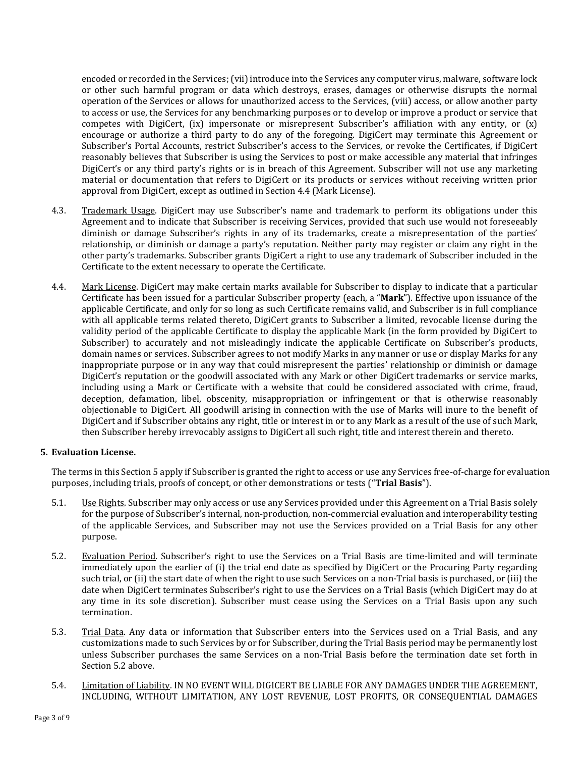encoded or recorded in the Services; (vii) introduce into the Services any computer virus, malware, software lock or other such harmful program or data which destroys, erases, damages or otherwise disrupts the normal operation of the Services or allows for unauthorized access to the Services, (viii) access, or allow another party to access or use, the Services for any benchmarking purposes or to develop or improve a product or service that competes with DigiCert, (ix) impersonate or misrepresent Subscriber's affiliation with any entity, or (x) encourage or authorize a third party to do any of the foregoing. DigiCert may terminate this Agreement or Subscriber's Portal Accounts, restrict Subscriber's access to the Services, or revoke the Certificates, if DigiCert reasonably believes that Subscriber is using the Services to post or make accessible any material that infringes DigiCert's or any third party's rights or is in breach of this Agreement. Subscriber will not use any marketing material or documentation that refers to DigiCert or its products or services without receiving written prior approval from DigiCert, except as outlined in Sectio[n 4.4](#page-2-0) (Mark License).

- 4.3. Trademark Usage. DigiCert may use Subscriber's name and trademark to perform its obligations under this Agreement and to indicate that Subscriber is receiving Services, provided that such use would not foreseeably diminish or damage Subscriber's rights in any of its trademarks, create a misrepresentation of the parties' relationship, or diminish or damage a party's reputation. Neither party may register or claim any right in the other party's trademarks. Subscriber grants DigiCert a right to use any trademark of Subscriber included in the Certificate to the extent necessary to operate the Certificate.
- <span id="page-2-0"></span>4.4. Mark License. DigiCert may make certain marks available for Subscriber to display to indicate that a particular Certificate has been issued for a particular Subscriber property (each, a "**Mark**"). Effective upon issuance of the applicable Certificate, and only for so long as such Certificate remains valid, and Subscriber is in full compliance with all applicable terms related thereto, DigiCert grants to Subscriber a limited, revocable license during the validity period of the applicable Certificate to display the applicable Mark (in the form provided by DigiCert to Subscriber) to accurately and not misleadingly indicate the applicable Certificate on Subscriber's products, domain names or services. Subscriber agrees to not modify Marks in any manner or use or display Marks for any inappropriate purpose or in any way that could misrepresent the parties' relationship or diminish or damage DigiCert's reputation or the goodwill associated with any Mark or other DigiCert trademarks or service marks, including using a Mark or Certificate with a website that could be considered associated with crime, fraud, deception, defamation, libel, obscenity, misappropriation or infringement or that is otherwise reasonably objectionable to DigiCert. All goodwill arising in connection with the use of Marks will inure to the benefit of DigiCert and if Subscriber obtains any right, title or interest in or to any Mark as a result of the use of such Mark, then Subscriber hereby irrevocably assigns to DigiCert all such right, title and interest therein and thereto.

# <span id="page-2-1"></span>**5. Evaluation License.**

The terms in this Sectio[n 5](#page-2-1) apply if Subscriber is granted the right to access or use any Services free-of-charge for evaluation purposes, including trials, proofs of concept, or other demonstrations or tests ("**Trial Basis**").

- 5.1. Use Rights. Subscriber may only access or use any Services provided under this Agreement on a Trial Basis solely for the purpose of Subscriber's internal, non-production, non-commercial evaluation and interoperability testing of the applicable Services, and Subscriber may not use the Services provided on a Trial Basis for any other purpose.
- <span id="page-2-2"></span>5.2. Evaluation Period. Subscriber's right to use the Services on a Trial Basis are time-limited and will terminate immediately upon the earlier of (i) the trial end date as specified by DigiCert or the Procuring Party regarding such trial, or (ii) the start date of when the right to use such Services on a non-Trial basis is purchased, or (iii) the date when DigiCert terminates Subscriber's right to use the Services on a Trial Basis (which DigiCert may do at any time in its sole discretion). Subscriber must cease using the Services on a Trial Basis upon any such termination.
- 5.3. Trial Data. Any data or information that Subscriber enters into the Services used on a Trial Basis, and any customizations made to such Services by or for Subscriber, during the Trial Basis period may be permanently lost unless Subscriber purchases the same Services on a non-Trial Basis before the termination date set forth in Section [5.2](#page-2-2) above.
- 5.4. Limitation of Liability. IN NO EVENT WILL DIGICERT BE LIABLE FOR ANY DAMAGES UNDER THE AGREEMENT, INCLUDING, WITHOUT LIMITATION, ANY LOST REVENUE, LOST PROFITS, OR CONSEQUENTIAL DAMAGES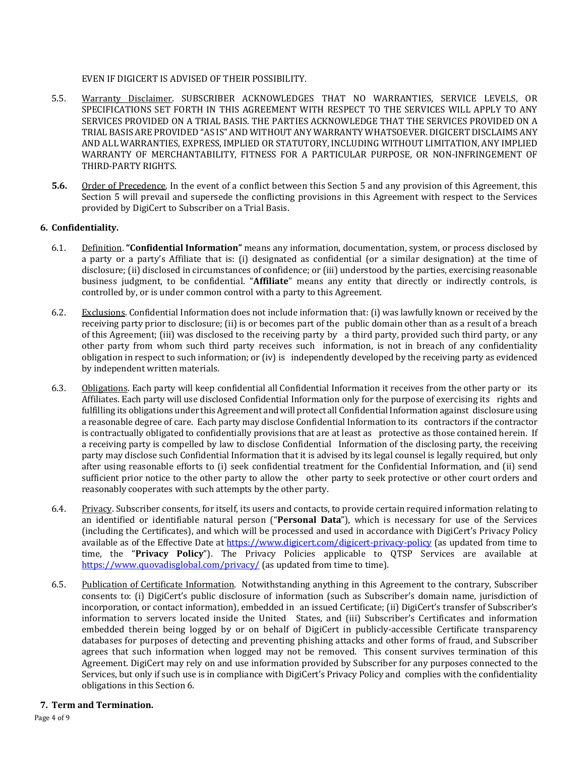EVEN IF DIGICERT IS ADVISED OF THEIR POSSIBILITY.

- 5.5. Warranty Disclaimer. SUBSCRIBER ACKNOWLEDGES THAT NO WARRANTIES, SERVICE LEVELS, OR SPECIFICATIONS SET FORTH IN THIS AGREEMENT WITH RESPECT TO THE SERVICES WILL APPLY TO ANY SERVICES PROVIDED ON A TRIAL BASIS. THE PARTIES ACKNOWLEDGE THAT THE SERVICES PROVIDED ON A TRIAL BASIS ARE PROVIDED "AS IS" AND WITHOUT ANY WARRANTY WHATSOEVER. DIGICERT DISCLAIMS ANY AND ALL WARRANTIES, EXPRESS, IMPLIED OR STATUTORY, INCLUDING WITHOUT LIMITATION, ANY IMPLIED WARRANTY OF MERCHANTABILITY, FITNESS FOR A PARTICULAR PURPOSE, OR NON-INFRINGEMENT OF THIRD-PARTY RIGHTS.
- **5.6.** Order of Precedence. In the event of a conflict between this Section [5](#page-2-1) and any provision of this Agreement, this Section [5](#page-2-1) will prevail and supersede the conflicting provisions in this Agreement with respect to the Services provided by DigiCert to Subscriber on a Trial Basis.

### <span id="page-3-0"></span>**6. Confidentiality.**

- 6.1. Definition. **"Confidential Information"** means any information, documentation, system, or process disclosed by a party or a party's Affiliate that is: (i) designated as confidential (or a similar designation) at the time of disclosure; (ii) disclosed in circumstances of confidence; or (iii) understood by the parties, exercising reasonable business judgment, to be confidential. "**Affiliate**" means any entity that directly or indirectly controls, is controlled by, or is under common control with a party to this Agreement.
- 6.2. Exclusions. Confidential Information does not include information that: (i) was lawfully known or received by the receiving party prior to disclosure; (ii) is or becomes part of the public domain other than as a result of a breach of this Agreement; (iii) was disclosed to the receiving party by a third party, provided such third party, or any other party from whom such third party receives such information, is not in breach of any confidentiality obligation in respect to such information; or (iv) is independently developed by the receiving party as evidenced by independent written materials.
- 6.3. Obligations. Each party will keep confidential all Confidential Information it receives from the other party or its Affiliates. Each party will use disclosed Confidential Information only for the purpose of exercising its rights and fulfilling its obligations under this Agreement and will protect all Confidential Information against disclosure using a reasonable degree of care. Each party may disclose Confidential Information to its contractors if the contractor is contractually obligated to confidentially provisions that are at least as protective as those contained herein. If a receiving party is compelled by law to disclose Confidential Information of the disclosing party, the receiving party may disclose such Confidential Information that it is advised by its legal counsel is legally required, but only after using reasonable efforts to (i) seek confidential treatment for the Confidential Information, and (ii) send sufficient prior notice to the other party to allow the other party to seek protective or other court orders and reasonably cooperates with such attempts by the other party.
- 6.4. Privacy. Subscriber consents, for itself, its users and contacts, to provide certain required information relating to an identified or identifiable natural person ("**Personal Data**"), which is necessary for use of the Services (including the Certificates), and which will be processed and used in accordance with DigiCert's Privacy Policy available as of the Effective Date at [https://www.digicert.com/digicert-privacy-policy](https://www.digicert.com/digicert-privacy-policy.htm) (as updated from time to time, the "**Privacy Policy**"). The Privacy Policies applicable to QTSP Services are available at <https://www.quovadisglobal.com/privacy/> (as updated from time to time).
- 6.5. Publication of Certificate Information. Notwithstanding anything in this Agreement to the contrary, Subscriber consents to: (i) DigiCert's public disclosure of information (such as Subscriber's domain name, jurisdiction of incorporation, or contact information), embedded in an issued Certificate; (ii) DigiCert's transfer of Subscriber's information to servers located inside the United States, and (iii) Subscriber's Certificates and information embedded therein being logged by or on behalf of DigiCert in publicly-accessible Certificate transparency databases for purposes of detecting and preventing phishing attacks and other forms of fraud, and Subscriber agrees that such information when logged may not be removed. This consent survives termination of this Agreement. DigiCert may rely on and use information provided by Subscriber for any purposes connected to the Services, but only if such use is in compliance with DigiCert's Privacy Policy and complies with the confidentiality obligations in this Sectio[n 6.](#page-3-0)

### <span id="page-3-1"></span>**7. Term and Termination.**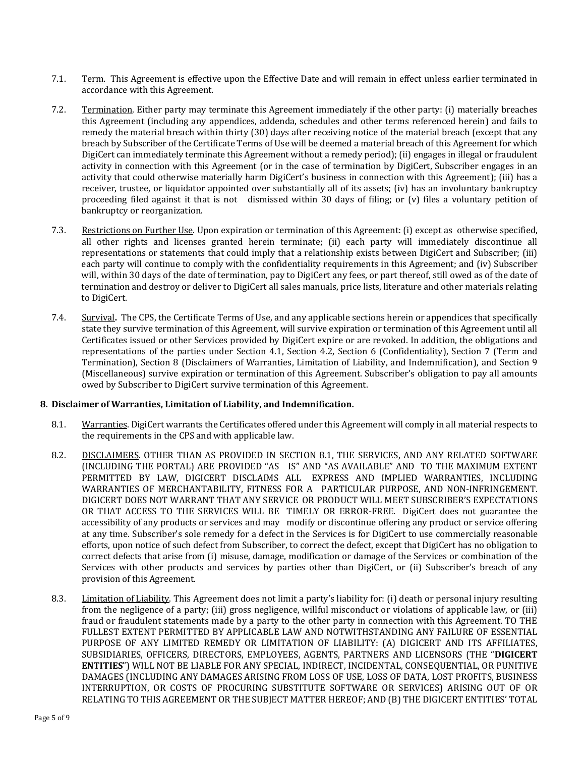- 7.1. Term. This Agreement is effective upon the Effective Date and will remain in effect unless earlier terminated in accordance with this Agreement.
- 7.2. Termination. Either party may terminate this Agreement immediately if the other party: (i) materially breaches this Agreement (including any appendices, addenda, schedules and other terms referenced herein) and fails to remedy the material breach within thirty (30) days after receiving notice of the material breach (except that any breach by Subscriber of the Certificate Terms of Use will be deemed a material breach of this Agreement for which DigiCert can immediately terminate this Agreement without a remedy period); (ii) engages in illegal or fraudulent activity in connection with this Agreement (or in the case of termination by DigiCert, Subscriber engages in an activity that could otherwise materially harm DigiCert's business in connection with this Agreement); (iii) has a receiver, trustee, or liquidator appointed over substantially all of its assets; (iv) has an involuntary bankruptcy proceeding filed against it that is not dismissed within 30 days of filing; or (v) files a voluntary petition of bankruptcy or reorganization.
- 7.3. Restrictions on Further Use. Upon expiration or termination of this Agreement: (i) except as otherwise specified, all other rights and licenses granted herein terminate; (ii) each party will immediately discontinue all representations or statements that could imply that a relationship exists between DigiCert and Subscriber; (iii) each party will continue to comply with the confidentiality requirements in this Agreement; and (iv) Subscriber will, within 30 days of the date of termination, pay to DigiCert any fees, or part thereof, still owed as of the date of termination and destroy or deliver to DigiCert all sales manuals, price lists, literature and other materials relating to DigiCert.
- 7.4. Survival**.** The CPS, the Certificate Terms of Use, and any applicable sections herein or appendices that specifically state they survive termination of this Agreement, will survive expiration or termination of this Agreement until all Certificates issued or other Services provided by DigiCert expire or are revoked. In addition, the obligations and representations of the parties under Section [4.1,](#page-1-0) Section [4.2,](#page-1-1) Section [6](#page-3-0) (Confidentiality), Section [7](#page-3-1) (Term and Termination), Section [8](#page-4-0) (Disclaimers of Warranties, Limitation of Liability, and Indemnification), and Section [9](#page-5-0) (Miscellaneous) survive expiration or termination of this Agreement. Subscriber's obligation to pay all amounts owed by Subscriber to DigiCert survive termination of this Agreement.

# <span id="page-4-0"></span>**8. Disclaimer of Warranties, Limitation of Liability, and Indemnification.**

- <span id="page-4-1"></span>8.1. Warranties. DigiCert warrants the Certificates offered under this Agreement will comply in all material respects to the requirements in the CPS and with applicable law.
- 8.2. DISCLAIMERS. OTHER THAN AS PROVIDED IN SECTION [8.1,](#page-4-1) THE SERVICES, AND ANY RELATED SOFTWARE (INCLUDING THE PORTAL) ARE PROVIDED "AS IS" AND "AS AVAILABLE" AND TO THE MAXIMUM EXTENT PERMITTED BY LAW, DIGICERT DISCLAIMS ALL EXPRESS AND IMPLIED WARRANTIES, INCLUDING WARRANTIES OF MERCHANTABILITY, FITNESS FOR A PARTICULAR PURPOSE, AND NON-INFRINGEMENT. DIGICERT DOES NOT WARRANT THAT ANY SERVICE OR PRODUCT WILL MEET SUBSCRIBER'S EXPECTATIONS OR THAT ACCESS TO THE SERVICES WILL BE TIMELY OR ERROR-FREE. DigiCert does not guarantee the accessibility of any products or services and may modify or discontinue offering any product or service offering at any time. Subscriber's sole remedy for a defect in the Services is for DigiCert to use commercially reasonable efforts, upon notice of such defect from Subscriber, to correct the defect, except that DigiCert has no obligation to correct defects that arise from (i) misuse, damage, modification or damage of the Services or combination of the Services with other products and services by parties other than DigiCert, or (ii) Subscriber's breach of any provision of this Agreement.
- 8.3. Limitation of Liability. This Agreement does not limit a party's liability for: (i) death or personal injury resulting from the negligence of a party; (iii) gross negligence, willful misconduct or violations of applicable law, or (iii) fraud or fraudulent statements made by a party to the other party in connection with this Agreement. TO THE FULLEST EXTENT PERMITTED BY APPLICABLE LAW AND NOTWITHSTANDING ANY FAILURE OF ESSENTIAL PURPOSE OF ANY LIMITED REMEDY OR LIMITATION OF LIABILITY: (A) DIGICERT AND ITS AFFILIATES, SUBSIDIARIES, OFFICERS, DIRECTORS, EMPLOYEES, AGENTS, PARTNERS AND LICENSORS (THE "**DIGICERT ENTITIES**") WILL NOT BE LIABLE FOR ANY SPECIAL, INDIRECT, INCIDENTAL, CONSEQUENTIAL, OR PUNITIVE DAMAGES (INCLUDING ANY DAMAGES ARISING FROM LOSS OF USE, LOSS OF DATA, LOST PROFITS, BUSINESS INTERRUPTION, OR COSTS OF PROCURING SUBSTITUTE SOFTWARE OR SERVICES) ARISING OUT OF OR RELATING TO THIS AGREEMENT OR THE SUBJECT MATTER HEREOF; AND (B) THE DIGICERT ENTITIES' TOTAL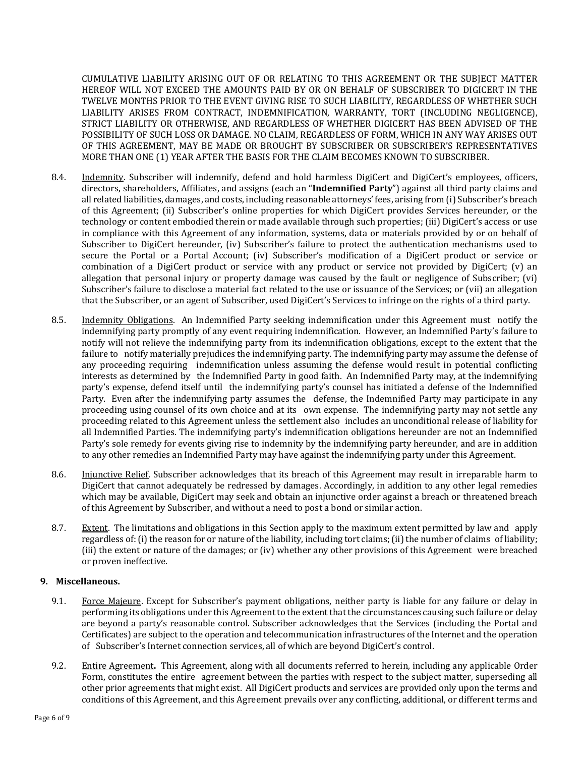CUMULATIVE LIABILITY ARISING OUT OF OR RELATING TO THIS AGREEMENT OR THE SUBJECT MATTER HEREOF WILL NOT EXCEED THE AMOUNTS PAID BY OR ON BEHALF OF SUBSCRIBER TO DIGICERT IN THE TWELVE MONTHS PRIOR TO THE EVENT GIVING RISE TO SUCH LIABILITY, REGARDLESS OF WHETHER SUCH LIABILITY ARISES FROM CONTRACT, INDEMNIFICATION, WARRANTY, TORT (INCLUDING NEGLIGENCE), STRICT LIABILITY OR OTHERWISE, AND REGARDLESS OF WHETHER DIGICERT HAS BEEN ADVISED OF THE POSSIBILITY OF SUCH LOSS OR DAMAGE. NO CLAIM, REGARDLESS OF FORM, WHICH IN ANY WAY ARISES OUT OF THIS AGREEMENT, MAY BE MADE OR BROUGHT BY SUBSCRIBER OR SUBSCRIBER'S REPRESENTATIVES MORE THAN ONE (1) YEAR AFTER THE BASIS FOR THE CLAIM BECOMES KNOWN TO SUBSCRIBER.

- 8.4. Indemnity. Subscriber will indemnify, defend and hold harmless DigiCert and DigiCert's employees, officers, directors, shareholders, Affiliates, and assigns (each an "**Indemnified Party**") against all third party claims and all related liabilities, damages, and costs, including reasonable attorneys' fees, arising from (i) Subscriber's breach of this Agreement; (ii) Subscriber's online properties for which DigiCert provides Services hereunder, or the technology or content embodied therein or made available through such properties; (iii) DigiCert's access or use in compliance with this Agreement of any information, systems, data or materials provided by or on behalf of Subscriber to DigiCert hereunder, (iv) Subscriber's failure to protect the authentication mechanisms used to secure the Portal or a Portal Account; (iv) Subscriber's modification of a DigiCert product or service or combination of a DigiCert product or service with any product or service not provided by DigiCert; (v) an allegation that personal injury or property damage was caused by the fault or negligence of Subscriber; (vi) Subscriber's failure to disclose a material fact related to the use or issuance of the Services; or (vii) an allegation that the Subscriber, or an agent of Subscriber, used DigiCert's Services to infringe on the rights of a third party.
- 8.5. Indemnity Obligations. An Indemnified Party seeking indemnification under this Agreement must notify the indemnifying party promptly of any event requiring indemnification. However, an Indemnified Party's failure to notify will not relieve the indemnifying party from its indemnification obligations, except to the extent that the failure to notify materially prejudices the indemnifying party. The indemnifying party may assume the defense of any proceeding requiring indemnification unless assuming the defense would result in potential conflicting interests as determined by the Indemnified Party in good faith. An Indemnified Party may, at the indemnifying party's expense, defend itself until the indemnifying party's counsel has initiated a defense of the Indemnified Party. Even after the indemnifying party assumes the defense, the Indemnified Party may participate in any proceeding using counsel of its own choice and at its own expense. The indemnifying party may not settle any proceeding related to this Agreement unless the settlement also includes an unconditional release of liability for all Indemnified Parties. The indemnifying party's indemnification obligations hereunder are not an Indemnified Party's sole remedy for events giving rise to indemnity by the indemnifying party hereunder, and are in addition to any other remedies an Indemnified Party may have against the indemnifying party under this Agreement.
- 8.6. Injunctive Relief. Subscriber acknowledges that its breach of this Agreement may result in irreparable harm to DigiCert that cannot adequately be redressed by damages. Accordingly, in addition to any other legal remedies which may be available, DigiCert may seek and obtain an injunctive order against a breach or threatened breach of this Agreement by Subscriber, and without a need to post a bond or similar action.
- 8.7. Extent. The limitations and obligations in this Section apply to the maximum extent permitted by law and apply regardless of: (i) the reason for or nature of the liability, including tort claims;(ii) the number of claims of liability; (iii) the extent or nature of the damages; or (iv) whether any other provisions of this Agreement were breached or proven ineffective.

### <span id="page-5-0"></span>**9. Miscellaneous.**

- 9.1. Force Majeure. Except for Subscriber's payment obligations, neither party is liable for any failure or delay in performing its obligations under this Agreement to the extent that the circumstances causing such failure or delay are beyond a party's reasonable control. Subscriber acknowledges that the Services (including the Portal and Certificates) are subject to the operation and telecommunication infrastructures of the Internet and the operation of Subscriber's Internet connection services, all of which are beyond DigiCert's control.
- 9.2. Entire Agreement**.** This Agreement, along with all documents referred to herein, including any applicable Order Form, constitutes the entire agreement between the parties with respect to the subject matter, superseding all other prior agreements that might exist. All DigiCert products and services are provided only upon the terms and conditions of this Agreement, and this Agreement prevails over any conflicting, additional, or different terms and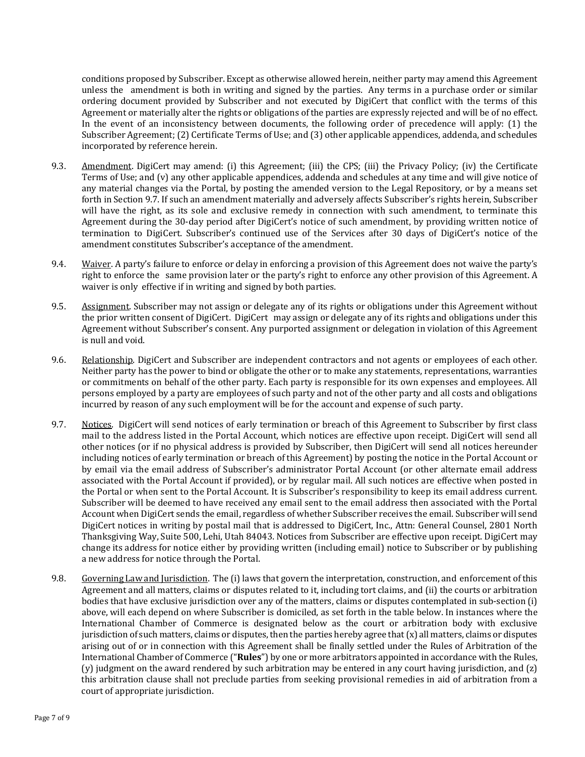conditions proposed by Subscriber. Except as otherwise allowed herein, neither party may amend this Agreement unless the amendment is both in writing and signed by the parties. Any terms in a purchase order or similar ordering document provided by Subscriber and not executed by DigiCert that conflict with the terms of this Agreement or materially alter the rights or obligations of the parties are expressly rejected and will be of no effect. In the event of an inconsistency between documents, the following order of precedence will apply: (1) the Subscriber Agreement; (2) Certificate Terms of Use; and (3) other applicable appendices, addenda, and schedules incorporated by reference herein.

- 9.3. Amendment. DigiCert may amend: (i) this Agreement; (iii) the CPS; (iii) the Privacy Policy; (iv) the Certificate Terms of Use; and (v) any other applicable appendices, addenda and schedules at any time and will give notice of any material changes via the Portal, by posting the amended version to the Legal Repository, or by a means set forth in Sectio[n 9.7.](#page-6-0) If such an amendment materially and adversely affects Subscriber's rights herein, Subscriber will have the right, as its sole and exclusive remedy in connection with such amendment, to terminate this Agreement during the 30-day period after DigiCert's notice of such amendment, by providing written notice of termination to DigiCert. Subscriber's continued use of the Services after 30 days of DigiCert's notice of the amendment constitutes Subscriber's acceptance of the amendment.
- 9.4. Waiver. A party's failure to enforce or delay in enforcing a provision of this Agreement does not waive the party's right to enforce the same provision later or the party's right to enforce any other provision of this Agreement. A waiver is only effective if in writing and signed by both parties.
- 9.5. Assignment. Subscriber may not assign or delegate any of its rights or obligations under this Agreement without the prior written consent of DigiCert. DigiCert may assign or delegate any of its rights and obligations under this Agreement without Subscriber's consent. Any purported assignment or delegation in violation of this Agreement is null and void.
- 9.6. Relationship. DigiCert and Subscriber are independent contractors and not agents or employees of each other. Neither party has the power to bind or obligate the other or to make any statements, representations, warranties or commitments on behalf of the other party. Each party is responsible for its own expenses and employees. All persons employed by a party are employees of such party and not of the other party and all costs and obligations incurred by reason of any such employment will be for the account and expense of such party.
- <span id="page-6-0"></span>9.7. Notices. DigiCert will send notices of early termination or breach of this Agreement to Subscriber by first class mail to the address listed in the Portal Account, which notices are effective upon receipt. DigiCert will send all other notices (or if no physical address is provided by Subscriber, then DigiCert will send all notices hereunder including notices of early termination or breach of this Agreement) by posting the notice in the Portal Account or by email via the email address of Subscriber's administrator Portal Account (or other alternate email address associated with the Portal Account if provided), or by regular mail. All such notices are effective when posted in the Portal or when sent to the Portal Account. It is Subscriber's responsibility to keep its email address current. Subscriber will be deemed to have received any email sent to the email address then associated with the Portal Account when DigiCert sends the email, regardless of whether Subscriber receives the email. Subscriber will send DigiCert notices in writing by postal mail that is addressed to DigiCert, Inc., Attn: General Counsel, 2801 North Thanksgiving Way, Suite 500, Lehi, Utah 84043. Notices from Subscriber are effective upon receipt. DigiCert may change its address for notice either by providing written (including email) notice to Subscriber or by publishing a new address for notice through the Portal.
- 9.8. Governing Law and Jurisdiction. The (i) laws that govern the interpretation, construction, and enforcement of this Agreement and all matters, claims or disputes related to it, including tort claims, and (ii) the courts or arbitration bodies that have exclusive jurisdiction over any of the matters, claims or disputes contemplated in sub-section (i) above, will each depend on where Subscriber is domiciled, as set forth in the table below. In instances where the International Chamber of Commerce is designated below as the court or arbitration body with exclusive jurisdiction of such matters, claims or disputes, then the parties hereby agree that  $(x)$  all matters, claims or disputes arising out of or in connection with this Agreement shall be finally settled under the Rules of Arbitration of the International Chamber of Commerce ("**Rules**") by one or more arbitrators appointed in accordance with the Rules, (y) judgment on the award rendered by such arbitration may be entered in any court having jurisdiction, and (z) this arbitration clause shall not preclude parties from seeking provisional remedies in aid of arbitration from a court of appropriate jurisdiction.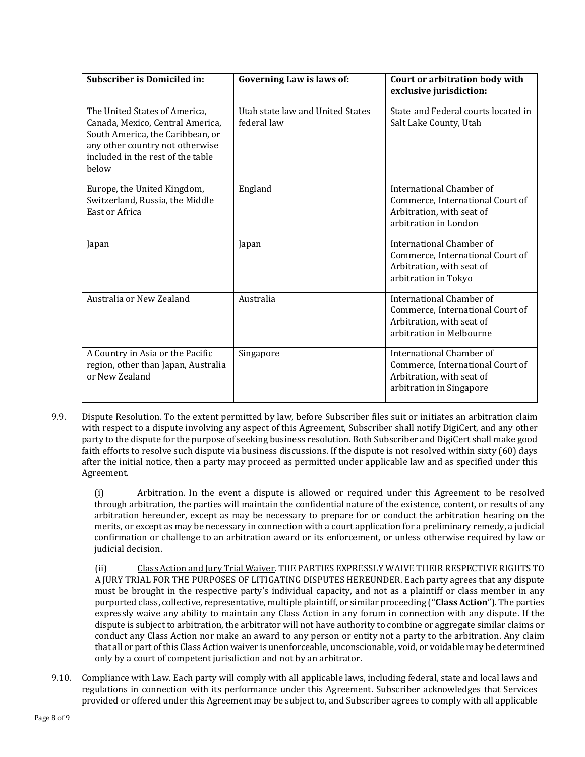| <b>Subscriber is Domiciled in:</b>                                                                                                                                                     | Governing Law is laws of:                       | Court or arbitration body with<br>exclusive jurisdiction:                                                             |
|----------------------------------------------------------------------------------------------------------------------------------------------------------------------------------------|-------------------------------------------------|-----------------------------------------------------------------------------------------------------------------------|
| The United States of America.<br>Canada, Mexico, Central America,<br>South America, the Caribbean, or<br>any other country not otherwise<br>included in the rest of the table<br>below | Utah state law and United States<br>federal law | State and Federal courts located in<br>Salt Lake County, Utah                                                         |
| Europe, the United Kingdom,<br>Switzerland, Russia, the Middle<br>East or Africa                                                                                                       | England                                         | International Chamber of<br>Commerce, International Court of<br>Arbitration, with seat of<br>arbitration in London    |
| Japan                                                                                                                                                                                  | Japan                                           | International Chamber of<br>Commerce, International Court of<br>Arbitration, with seat of<br>arbitration in Tokyo     |
| Australia or New Zealand                                                                                                                                                               | Australia                                       | International Chamber of<br>Commerce, International Court of<br>Arbitration, with seat of<br>arbitration in Melbourne |
| A Country in Asia or the Pacific<br>region, other than Japan, Australia<br>or New Zealand                                                                                              | Singapore                                       | International Chamber of<br>Commerce, International Court of<br>Arbitration, with seat of<br>arbitration in Singapore |

9.9. Dispute Resolution. To the extent permitted by law, before Subscriber files suit or initiates an arbitration claim with respect to a dispute involving any aspect of this Agreement, Subscriber shall notify DigiCert, and any other party to the dispute for the purpose of seeking business resolution. Both Subscriber and DigiCert shall make good faith efforts to resolve such dispute via business discussions. If the dispute is not resolved within sixty (60) days after the initial notice, then a party may proceed as permitted under applicable law and as specified under this Agreement.

(i) Arbitration. In the event a dispute is allowed or required under this Agreement to be resolved through arbitration, the parties will maintain the confidential nature of the existence, content, or results of any arbitration hereunder, except as may be necessary to prepare for or conduct the arbitration hearing on the merits, or except as may be necessary in connection with a court application for a preliminary remedy, a judicial confirmation or challenge to an arbitration award or its enforcement, or unless otherwise required by law or judicial decision.

(ii) Class Action and Jury Trial Waiver. THE PARTIES EXPRESSLY WAIVE THEIR RESPECTIVE RIGHTS TO A JURY TRIAL FOR THE PURPOSES OF LITIGATING DISPUTES HEREUNDER. Each party agrees that any dispute must be brought in the respective party's individual capacity, and not as a plaintiff or class member in any purported class, collective, representative, multiple plaintiff, or similar proceeding ("**Class Action**"). The parties expressly waive any ability to maintain any Class Action in any forum in connection with any dispute. If the dispute is subject to arbitration, the arbitrator will not have authority to combine or aggregate similar claims or conduct any Class Action nor make an award to any person or entity not a party to the arbitration. Any claim that all or part of this Class Action waiver is unenforceable, unconscionable, void, or voidable may be determined only by a court of competent jurisdiction and not by an arbitrator.

9.10. Compliance with Law. Each party will comply with all applicable laws, including federal, state and local laws and regulations in connection with its performance under this Agreement. Subscriber acknowledges that Services provided or offered under this Agreement may be subject to, and Subscriber agrees to comply with all applicable